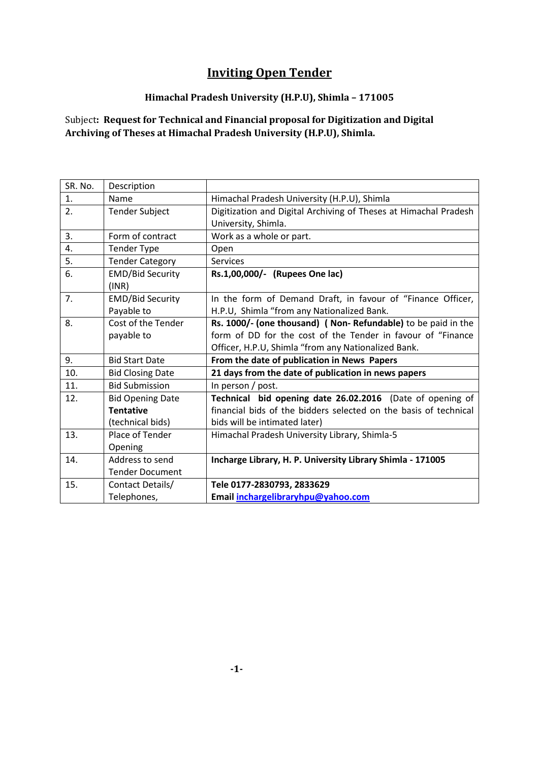# **Inviting Open Tender**

## **Himachal Pradesh University (H.P.U), Shimla – 171005**

Subject**: Request for Technical and Financial proposal for Digitization and Digital Archiving of Theses at Himachal Pradesh University (H.P.U), Shimla.**

| SR. No. | Description                      |                                                                  |
|---------|----------------------------------|------------------------------------------------------------------|
| 1.      | Name                             | Himachal Pradesh University (H.P.U), Shimla                      |
| 2.      | <b>Tender Subject</b>            | Digitization and Digital Archiving of Theses at Himachal Pradesh |
|         |                                  | University, Shimla.                                              |
| 3.      | Form of contract                 | Work as a whole or part.                                         |
| 4.      | <b>Tender Type</b>               | Open                                                             |
| 5.      | <b>Tender Category</b>           | <b>Services</b>                                                  |
| 6.      | <b>EMD/Bid Security</b><br>(INR) | Rs.1,00,000/- (Rupees One lac)                                   |
| 7.      | <b>EMD/Bid Security</b>          | In the form of Demand Draft, in favour of "Finance Officer,      |
|         | Payable to                       | H.P.U, Shimla "from any Nationalized Bank.                       |
| 8.      | Cost of the Tender               | Rs. 1000/- (one thousand) ( Non- Refundable) to be paid in the   |
|         | payable to                       | form of DD for the cost of the Tender in favour of "Finance      |
|         |                                  | Officer, H.P.U, Shimla "from any Nationalized Bank.              |
| 9.      | <b>Bid Start Date</b>            | From the date of publication in News Papers                      |
| 10.     | <b>Bid Closing Date</b>          | 21 days from the date of publication in news papers              |
| 11.     | <b>Bid Submission</b>            | In person / post.                                                |
| 12.     | <b>Bid Opening Date</b>          | Technical bid opening date 26.02.2016 (Date of opening of        |
|         | <b>Tentative</b>                 | financial bids of the bidders selected on the basis of technical |
|         | (technical bids)                 | bids will be intimated later)                                    |
| 13.     | Place of Tender                  | Himachal Pradesh University Library, Shimla-5                    |
|         | Opening                          |                                                                  |
| 14.     | Address to send                  | Incharge Library, H. P. University Library Shimla - 171005       |
|         | <b>Tender Document</b>           |                                                                  |
| 15.     | Contact Details/                 | Tele 0177-2830793, 2833629                                       |
|         | Telephones,                      | Email inchargelibraryhpu@yahoo.com                               |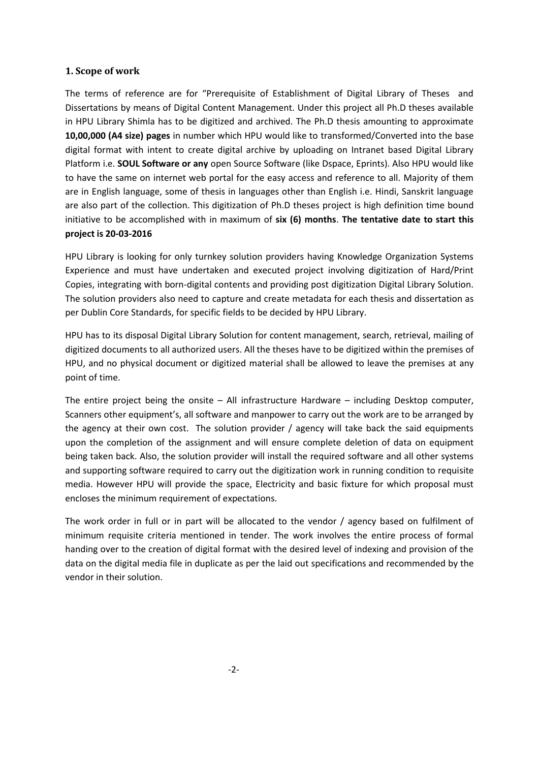#### **1. Scope of work**

The terms of reference are for "Prerequisite of Establishment of Digital Library of Theses and Dissertations by means of Digital Content Management. Under this project all Ph.D theses available in HPU Library Shimla has to be digitized and archived. The Ph.D thesis amounting to approximate **10,00,000 (A4 size) pages** in number which HPU would like to transformed/Converted into the base digital format with intent to create digital archive by uploading on Intranet based Digital Library Platform i.e. **SOUL Software or any** open Source Software (like Dspace, Eprints). Also HPU would like to have the same on internet web portal for the easy access and reference to all. Majority of them are in English language, some of thesis in languages other than English i.e. Hindi, Sanskrit language are also part of the collection. This digitization of Ph.D theses project is high definition time bound initiative to be accomplished with in maximum of **six (6) months**. **The tentative date to start this project is 20-03-2016**

HPU Library is looking for only turnkey solution providers having Knowledge Organization Systems Experience and must have undertaken and executed project involving digitization of Hard/Print Copies, integrating with born-digital contents and providing post digitization Digital Library Solution. The solution providers also need to capture and create metadata for each thesis and dissertation as per Dublin Core Standards, for specific fields to be decided by HPU Library.

HPU has to its disposal Digital Library Solution for content management, search, retrieval, mailing of digitized documents to all authorized users. All the theses have to be digitized within the premises of HPU, and no physical document or digitized material shall be allowed to leave the premises at any point of time.

The entire project being the onsite – All infrastructure Hardware – including Desktop computer, Scanners other equipment's, all software and manpower to carry out the work are to be arranged by the agency at their own cost. The solution provider / agency will take back the said equipments upon the completion of the assignment and will ensure complete deletion of data on equipment being taken back. Also, the solution provider will install the required software and all other systems and supporting software required to carry out the digitization work in running condition to requisite media. However HPU will provide the space, Electricity and basic fixture for which proposal must encloses the minimum requirement of expectations.

The work order in full or in part will be allocated to the vendor / agency based on fulfilment of minimum requisite criteria mentioned in tender. The work involves the entire process of formal handing over to the creation of digital format with the desired level of indexing and provision of the data on the digital media file in duplicate as per the laid out specifications and recommended by the vendor in their solution.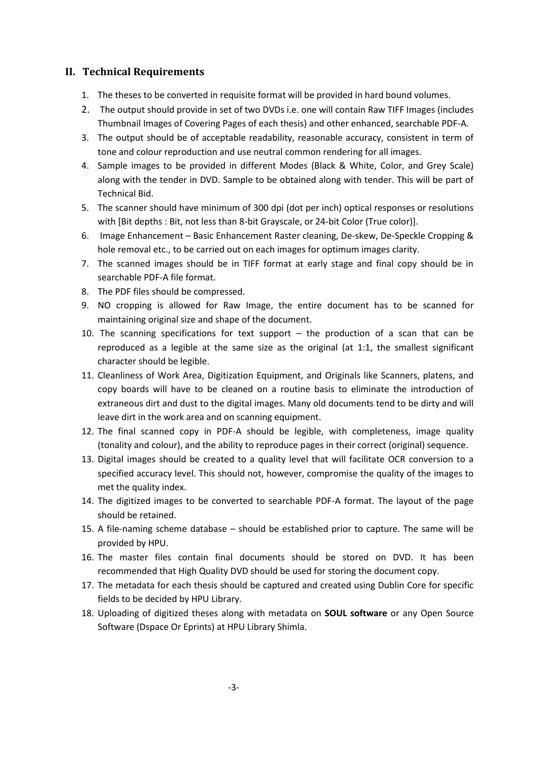## **II. Technical Requirements**

- 1. The theses to be converted in requisite format will be provided in hard bound volumes.
- 2. The output should provide in set of two DVDs i.e. one will contain Raw TIFF Images (includes Thumbnail Images of Covering Pages of each thesis) and other enhanced, searchable PDF-A.
- 3. The output should be of acceptable readability, reasonable accuracy, consistent in term of tone and colour reproduction and use neutral common rendering for all images.
- 4. Sample images to be provided in different Modes (Black & White, Color, and Grey Scale) along with the tender in DVD. Sample to be obtained along with tender. This will be part of Technical Bid.
- 5. The scanner should have minimum of 300 dpi (dot per inch) optical responses or resolutions with [Bit depths : Bit, not less than 8-bit Grayscale, or 24-bit Color (True color)].
- 6. Image Enhancement Basic Enhancement Raster cleaning, De-skew, De-Speckle Cropping & hole removal etc., to be carried out on each images for optimum images clarity.
- 7. The scanned images should be in TIFF format at early stage and final copy should be in searchable PDF-A file format.
- 8. The PDF files should be compressed.
- 9. NO cropping is allowed for Raw Image, the entire document has to be scanned for maintaining original size and shape of the document.
- 10. The scanning specifications for text support  $-$  the production of a scan that can be reproduced as a legible at the same size as the original (at 1:1, the smallest significant character should be legible.
- 11. Cleanliness of Work Area, Digitization Equipment, and Originals like Scanners, platens, and copy boards will have to be cleaned on a routine basis to eliminate the introduction of extraneous dirt and dust to the digital images. Many old documents tend to be dirty and will leave dirt in the work area and on scanning equipment.
- 12. The final scanned copy in PDF-A should be legible, with completeness, image quality (tonality and colour), and the ability to reproduce pages in their correct (original) sequence.
- 13. Digital images should be created to a quality level that will facilitate OCR conversion to a specified accuracy level. This should not, however, compromise the quality of the images to met the quality index.
- 14. The digitized images to be converted to searchable PDF-A format. The layout of the page should be retained.
- 15. A file-naming scheme database should be established prior to capture. The same will be provided by HPU.
- 16. The master files contain final documents should be stored on DVD. It has been recommended that High Quality DVD should be used for storing the document copy.
- 17. The metadata for each thesis should be captured and created using Dublin Core for specific fields to be decided by HPU Library.
- 18. Uploading of digitized theses along with metadata on **SOUL software** or any Open Source Software (Dspace Or Eprints) at HPU Library Shimla.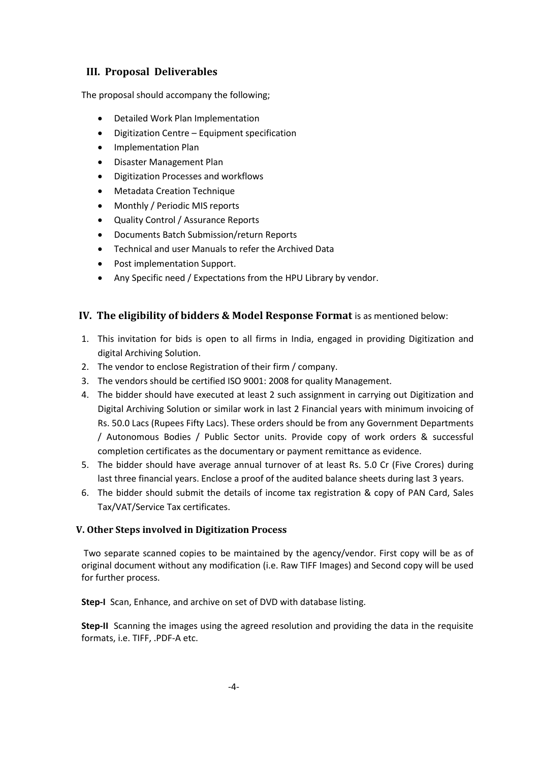## **III. Proposal Deliverables**

The proposal should accompany the following;

- Detailed Work Plan Implementation
- Digitization Centre Equipment specification
- Implementation Plan
- Disaster Management Plan
- Digitization Processes and workflows
- Metadata Creation Technique
- Monthly / Periodic MIS reports
- Quality Control / Assurance Reports
- Documents Batch Submission/return Reports
- Technical and user Manuals to refer the Archived Data
- Post implementation Support.
- Any Specific need / Expectations from the HPU Library by vendor.

## **IV. The eligibility of bidders & Model Response Format** is as mentioned below:

- 1. This invitation for bids is open to all firms in India, engaged in providing Digitization and digital Archiving Solution.
- 2. The vendor to enclose Registration of their firm / company.
- 3. The vendors should be certified ISO 9001: 2008 for quality Management.
- 4. The bidder should have executed at least 2 such assignment in carrying out Digitization and Digital Archiving Solution or similar work in last 2 Financial years with minimum invoicing of Rs. 50.0 Lacs (Rupees Fifty Lacs). These orders should be from any Government Departments / Autonomous Bodies / Public Sector units. Provide copy of work orders & successful completion certificates as the documentary or payment remittance as evidence.
- 5. The bidder should have average annual turnover of at least Rs. 5.0 Cr (Five Crores) during last three financial years. Enclose a proof of the audited balance sheets during last 3 years.
- 6. The bidder should submit the details of income tax registration & copy of PAN Card, Sales Tax/VAT/Service Tax certificates.

## **V. Other Steps involved in Digitization Process**

Two separate scanned copies to be maintained by the agency/vendor. First copy will be as of original document without any modification (i.e. Raw TIFF Images) and Second copy will be used for further process.

**Step-I** Scan, Enhance, and archive on set of DVD with database listing.

**Step-II** Scanning the images using the agreed resolution and providing the data in the requisite formats, i.e. TIFF, .PDF-A etc.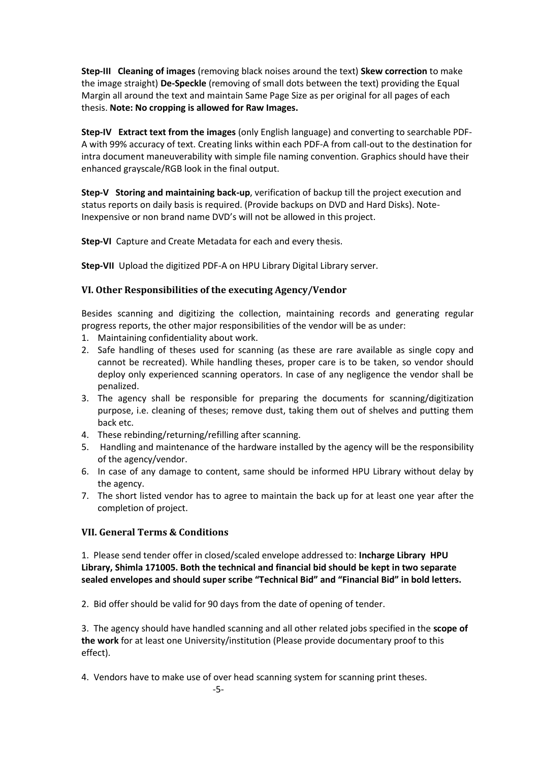**Step-III Cleaning of images** (removing black noises around the text) **Skew correction** to make the image straight) **De-Speckle** (removing of small dots between the text) providing the Equal Margin all around the text and maintain Same Page Size as per original for all pages of each thesis. **Note: No cropping is allowed for Raw Images.**

**Step-IV Extract text from the images** (only English language) and converting to searchable PDF-A with 99% accuracy of text. Creating links within each PDF-A from call-out to the destination for intra document maneuverability with simple file naming convention. Graphics should have their enhanced grayscale/RGB look in the final output.

**Step-V Storing and maintaining back-up**, verification of backup till the project execution and status reports on daily basis is required. (Provide backups on DVD and Hard Disks). Note-Inexpensive or non brand name DVD's will not be allowed in this project.

**Step-VI** Capture and Create Metadata for each and every thesis.

**Step-VII** Upload the digitized PDF-A on HPU Library Digital Library server.

#### **VI. Other Responsibilities of the executing Agency/Vendor**

Besides scanning and digitizing the collection, maintaining records and generating regular progress reports, the other major responsibilities of the vendor will be as under:

- 1. Maintaining confidentiality about work.
- 2. Safe handling of theses used for scanning (as these are rare available as single copy and cannot be recreated). While handling theses, proper care is to be taken, so vendor should deploy only experienced scanning operators. In case of any negligence the vendor shall be penalized.
- 3. The agency shall be responsible for preparing the documents for scanning/digitization purpose, i.e. cleaning of theses; remove dust, taking them out of shelves and putting them back etc.
- 4. These rebinding/returning/refilling after scanning.
- 5. Handling and maintenance of the hardware installed by the agency will be the responsibility of the agency/vendor.
- 6. In case of any damage to content, same should be informed HPU Library without delay by the agency.
- 7. The short listed vendor has to agree to maintain the back up for at least one year after the completion of project.

## **VII. General Terms & Conditions**

1. Please send tender offer in closed/scaled envelope addressed to: **Incharge Library HPU Library, Shimla 171005. Both the technical and financial bid should be kept in two separate sealed envelopes and should super scribe "Technical Bid" and "Financial Bid" in bold letters.**

2. Bid offer should be valid for 90 days from the date of opening of tender.

3. The agency should have handled scanning and all other related jobs specified in the **scope of the work** for at least one University/institution (Please provide documentary proof to this effect).

4. Vendors have to make use of over head scanning system for scanning print theses.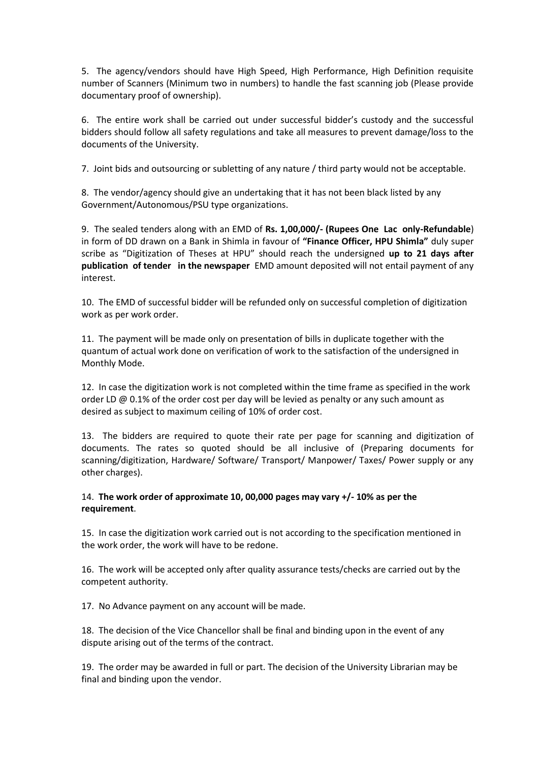5. The agency/vendors should have High Speed, High Performance, High Definition requisite number of Scanners (Minimum two in numbers) to handle the fast scanning job (Please provide documentary proof of ownership).

6. The entire work shall be carried out under successful bidder's custody and the successful bidders should follow all safety regulations and take all measures to prevent damage/loss to the documents of the University.

7. Joint bids and outsourcing or subletting of any nature / third party would not be acceptable.

8. The vendor/agency should give an undertaking that it has not been black listed by any Government/Autonomous/PSU type organizations.

9. The sealed tenders along with an EMD of **Rs. 1,00,000/- (Rupees One Lac only-Refundable**) in form of DD drawn on a Bank in Shimla in favour of **"Finance Officer, HPU Shimla"** duly super scribe as "Digitization of Theses at HPU" should reach the undersigned **up to 21 days after publication of tender in the newspaper** EMD amount deposited will not entail payment of any interest.

10. The EMD of successful bidder will be refunded only on successful completion of digitization work as per work order.

11. The payment will be made only on presentation of bills in duplicate together with the quantum of actual work done on verification of work to the satisfaction of the undersigned in Monthly Mode.

12. In case the digitization work is not completed within the time frame as specified in the work order LD @ 0.1% of the order cost per day will be levied as penalty or any such amount as desired as subject to maximum ceiling of 10% of order cost.

13. The bidders are required to quote their rate per page for scanning and digitization of documents. The rates so quoted should be all inclusive of (Preparing documents for scanning/digitization, Hardware/ Software/ Transport/ Manpower/ Taxes/ Power supply or any other charges).

## 14. **The work order of approximate 10, 00,000 pages may vary +/- 10% as per the requirement**.

15. In case the digitization work carried out is not according to the specification mentioned in the work order, the work will have to be redone.

16. The work will be accepted only after quality assurance tests/checks are carried out by the competent authority.

17. No Advance payment on any account will be made.

18. The decision of the Vice Chancellor shall be final and binding upon in the event of any dispute arising out of the terms of the contract.

19. The order may be awarded in full or part. The decision of the University Librarian may be final and binding upon the vendor.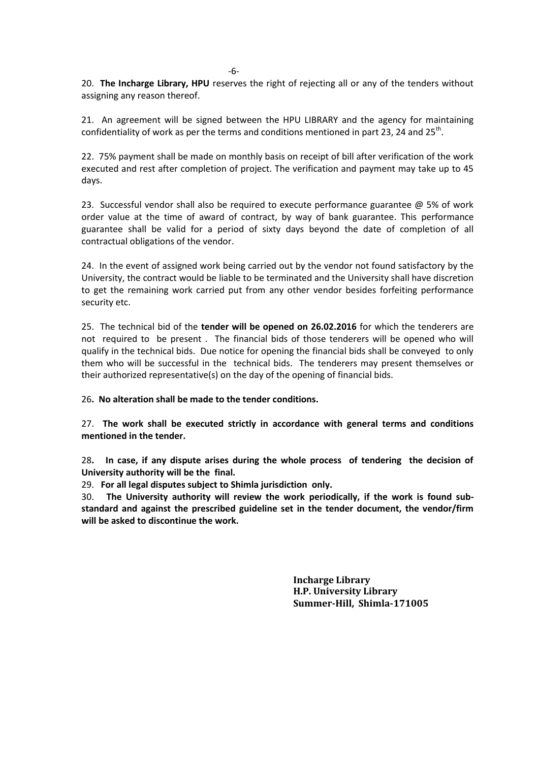20. **The Incharge Library, HPU** reserves the right of rejecting all or any of the tenders without assigning any reason thereof.

21. An agreement will be signed between the HPU LIBRARY and the agency for maintaining confidentiality of work as per the terms and conditions mentioned in part 23, 24 and 25<sup>th</sup>.

22. 75% payment shall be made on monthly basis on receipt of bill after verification of the work executed and rest after completion of project. The verification and payment may take up to 45 days.

23. Successful vendor shall also be required to execute performance guarantee  $\omega$  5% of work order value at the time of award of contract, by way of bank guarantee. This performance guarantee shall be valid for a period of sixty days beyond the date of completion of all contractual obligations of the vendor.

24. In the event of assigned work being carried out by the vendor not found satisfactory by the University, the contract would be liable to be terminated and the University shall have discretion to get the remaining work carried put from any other vendor besides forfeiting performance security etc.

25. The technical bid of the **tender will be opened on 26.02.2016** for which the tenderers are not required to be present . The financial bids of those tenderers will be opened who will qualify in the technical bids. Due notice for opening the financial bids shall be conveyed to only them who will be successful in the technical bids. The tenderers may present themselves or their authorized representative(s) on the day of the opening of financial bids.

26**. No alteration shall be made to the tender conditions.**

27. **The work shall be executed strictly in accordance with general terms and conditions mentioned in the tender.**

28**. In case, if any dispute arises during the whole process of tendering the decision of University authority will be the final.**

29. **For all legal disputes subject to Shimla jurisdiction only.**

30. **The University authority will review the work periodically, if the work is found substandard and against the prescribed guideline set in the tender document, the vendor/firm will be asked to discontinue the work.** 

> **Incharge Library H.P. University Library Summer-Hill, Shimla-171005**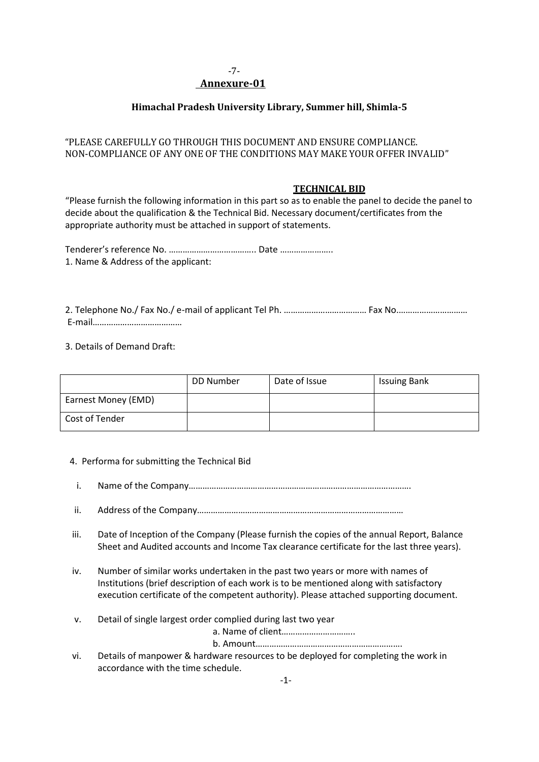#### -7-  **Annexure-01**

## **Himachal Pradesh University Library, Summer hill, Shimla-5**

## "PLEASE CAREFULLY GO THROUGH THIS DOCUMENT AND ENSURE COMPLIANCE. NON-COMPLIANCE OF ANY ONE OF THE CONDITIONS MAY MAKE YOUR OFFER INVALID"

#### **TECHNICAL BID**

"Please furnish the following information in this part so as to enable the panel to decide the panel to decide about the qualification & the Technical Bid. Necessary document/certificates from the appropriate authority must be attached in support of statements.

Tenderer's reference No. ……………………………….. Date ………………….. 1. Name & Address of the applicant:

2. Telephone No./ Fax No./ e-mail of applicant Tel Ph. ……………………………… Fax No.………………………… E-mail…………………………………

3. Details of Demand Draft:

|                     | DD Number | Date of Issue | <b>Issuing Bank</b> |
|---------------------|-----------|---------------|---------------------|
| Earnest Money (EMD) |           |               |                     |
| Cost of Tender      |           |               |                     |

#### 4. Performa for submitting the Technical Bid

- i. Name of the Company…………………………………………………………………………………….
- ii. Address of the Company………………………………………………………………………………
- iii. Date of Inception of the Company (Please furnish the copies of the annual Report, Balance Sheet and Audited accounts and Income Tax clearance certificate for the last three years).
- iv. Number of similar works undertaken in the past two years or more with names of Institutions (brief description of each work is to be mentioned along with satisfactory execution certificate of the competent authority). Please attached supporting document.
- v. Detail of single largest order complied during last two year

a. Name of client…………………………..

b. Amount……………………………………………………….

vi. Details of manpower & hardware resources to be deployed for completing the work in accordance with the time schedule.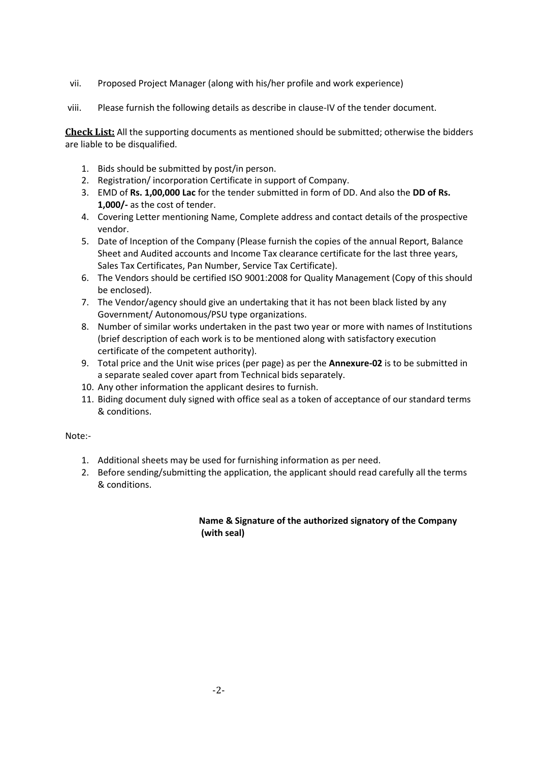- vii. Proposed Project Manager (along with his/her profile and work experience)
- viii. Please furnish the following details as describe in clause-IV of the tender document.

**Check List:** All the supporting documents as mentioned should be submitted; otherwise the bidders are liable to be disqualified.

- 1. Bids should be submitted by post/in person.
- 2. Registration/ incorporation Certificate in support of Company.
- 3. EMD of **Rs. 1,00,000 Lac** for the tender submitted in form of DD. And also the **DD of Rs. 1,000/-** as the cost of tender.
- 4. Covering Letter mentioning Name, Complete address and contact details of the prospective vendor.
- 5. Date of Inception of the Company (Please furnish the copies of the annual Report, Balance Sheet and Audited accounts and Income Tax clearance certificate for the last three years, Sales Tax Certificates, Pan Number, Service Tax Certificate).
- 6. The Vendors should be certified ISO 9001:2008 for Quality Management (Copy of this should be enclosed).
- 7. The Vendor/agency should give an undertaking that it has not been black listed by any Government/ Autonomous/PSU type organizations.
- 8. Number of similar works undertaken in the past two year or more with names of Institutions (brief description of each work is to be mentioned along with satisfactory execution certificate of the competent authority).
- 9. Total price and the Unit wise prices (per page) as per the **Annexure-02** is to be submitted in a separate sealed cover apart from Technical bids separately.
- 10. Any other information the applicant desires to furnish.
- 11. Biding document duly signed with office seal as a token of acceptance of our standard terms & conditions.

Note:-

- 1. Additional sheets may be used for furnishing information as per need.
- 2. Before sending/submitting the application, the applicant should read carefully all the terms & conditions.

## **Name & Signature of the authorized signatory of the Company (with seal)**